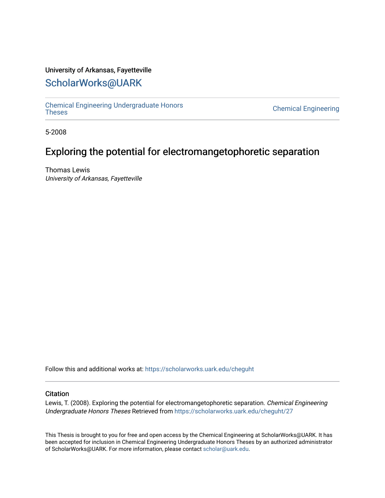# University of Arkansas, Fayetteville

# [ScholarWorks@UARK](https://scholarworks.uark.edu/)

[Chemical Engineering Undergraduate Honors](https://scholarworks.uark.edu/cheguht)

**Chemical Engineering** 

5-2008

# Exploring the potential for electromangetophoretic separation

Thomas Lewis University of Arkansas, Fayetteville

Follow this and additional works at: [https://scholarworks.uark.edu/cheguht](https://scholarworks.uark.edu/cheguht?utm_source=scholarworks.uark.edu%2Fcheguht%2F27&utm_medium=PDF&utm_campaign=PDFCoverPages)

# **Citation**

Lewis, T. (2008). Exploring the potential for electromangetophoretic separation. Chemical Engineering Undergraduate Honors Theses Retrieved from [https://scholarworks.uark.edu/cheguht/27](https://scholarworks.uark.edu/cheguht/27?utm_source=scholarworks.uark.edu%2Fcheguht%2F27&utm_medium=PDF&utm_campaign=PDFCoverPages)

This Thesis is brought to you for free and open access by the Chemical Engineering at ScholarWorks@UARK. It has been accepted for inclusion in Chemical Engineering Undergraduate Honors Theses by an authorized administrator of ScholarWorks@UARK. For more information, please contact [scholar@uark.edu.](mailto:scholar@uark.edu)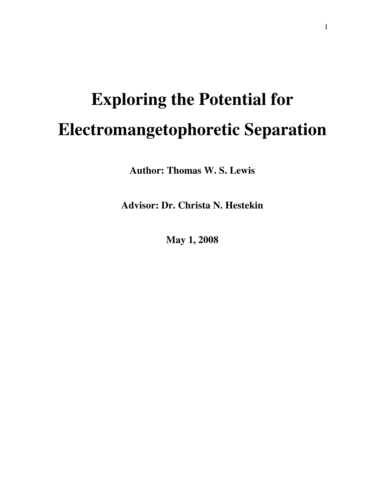# **Exploring the Potential for Electromangetophoretic Separation**

**Author: Thomas W. S. Lewis** 

**Advisor: Dr. Christa N. Hestekin** 

**May 1, 2008**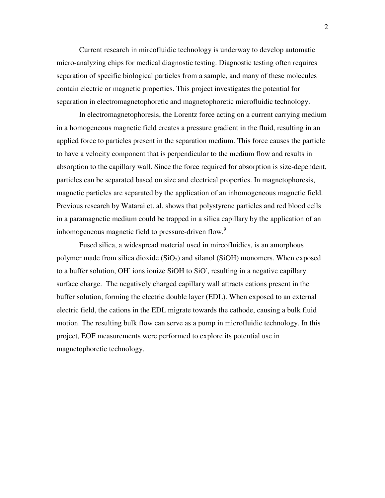Current research in mircofluidic technology is underway to develop automatic micro-analyzing chips for medical diagnostic testing. Diagnostic testing often requires separation of specific biological particles from a sample, and many of these molecules contain electric or magnetic properties. This project investigates the potential for separation in electromagnetophoretic and magnetophoretic microfluidic technology.

In electromagnetophoresis, the Lorentz force acting on a current carrying medium in a homogeneous magnetic field creates a pressure gradient in the fluid, resulting in an applied force to particles present in the separation medium. This force causes the particle to have a velocity component that is perpendicular to the medium flow and results in absorption to the capillary wall. Since the force required for absorption is size-dependent, particles can be separated based on size and electrical properties. In magnetophoresis, magnetic particles are separated by the application of an inhomogeneous magnetic field. Previous research by Watarai et. al. shows that polystyrene particles and red blood cells in a paramagnetic medium could be trapped in a silica capillary by the application of an inhomogeneous magnetic field to pressure-driven flow.<sup>9</sup>

Fused silica, a widespread material used in mircofluidics, is an amorphous polymer made from silica dioxide  $(SiO<sub>2</sub>)$  and silanol  $(SiOH)$  monomers. When exposed to a buffer solution, OH ions ionize SiOH to SiO, resulting in a negative capillary surface charge. The negatively charged capillary wall attracts cations present in the buffer solution, forming the electric double layer (EDL). When exposed to an external electric field, the cations in the EDL migrate towards the cathode, causing a bulk fluid motion. The resulting bulk flow can serve as a pump in microfluidic technology. In this project, EOF measurements were performed to explore its potential use in magnetophoretic technology.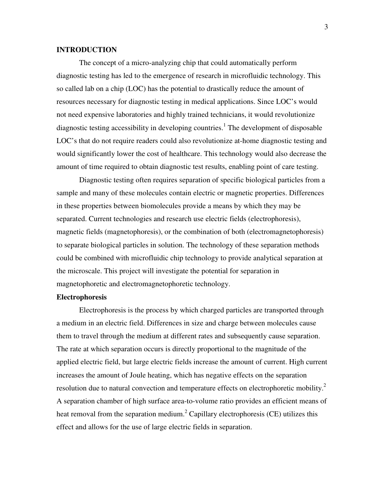# **INTRODUCTION**

 The concept of a micro-analyzing chip that could automatically perform diagnostic testing has led to the emergence of research in microfluidic technology. This so called lab on a chip (LOC) has the potential to drastically reduce the amount of resources necessary for diagnostic testing in medical applications. Since LOC's would not need expensive laboratories and highly trained technicians, it would revolutionize diagnostic testing accessibility in developing countries.<sup>1</sup> The development of disposable LOC's that do not require readers could also revolutionize at-home diagnostic testing and would significantly lower the cost of healthcare. This technology would also decrease the amount of time required to obtain diagnostic test results, enabling point of care testing.

 Diagnostic testing often requires separation of specific biological particles from a sample and many of these molecules contain electric or magnetic properties. Differences in these properties between biomolecules provide a means by which they may be separated. Current technologies and research use electric fields (electrophoresis), magnetic fields (magnetophoresis), or the combination of both (electromagnetophoresis) to separate biological particles in solution. The technology of these separation methods could be combined with microfluidic chip technology to provide analytical separation at the microscale. This project will investigate the potential for separation in magnetophoretic and electromagnetophoretic technology.

#### **Electrophoresis**

 Electrophoresis is the process by which charged particles are transported through a medium in an electric field. Differences in size and charge between molecules cause them to travel through the medium at different rates and subsequently cause separation. The rate at which separation occurs is directly proportional to the magnitude of the applied electric field, but large electric fields increase the amount of current. High current increases the amount of Joule heating, which has negative effects on the separation resolution due to natural convection and temperature effects on electrophoretic mobility.<sup>2</sup> A separation chamber of high surface area-to-volume ratio provides an efficient means of heat removal from the separation medium.<sup>2</sup> Capillary electrophoresis (CE) utilizes this effect and allows for the use of large electric fields in separation.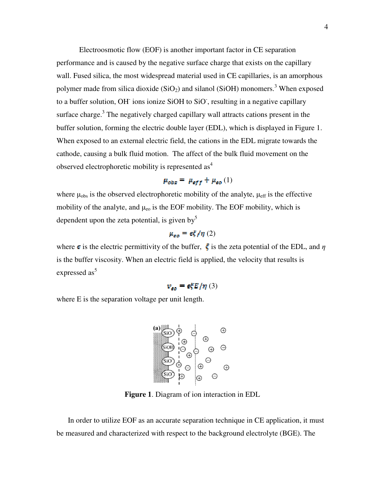Electroosmotic flow (EOF) is another important factor in CE separation performance and is caused by the negative surface charge that exists on the capillary wall. Fused silica, the most widespread material used in CE capillaries, is an amorphous polymer made from silica dioxide  $(SiO<sub>2</sub>)$  and silanol  $(SiOH)$  monomers.<sup>3</sup> When exposed to a buffer solution, OH ions ionize SiOH to SiO, resulting in a negative capillary surface charge. $3$  The negatively charged capillary wall attracts cations present in the buffer solution, forming the electric double layer (EDL), which is displayed in Figure 1. When exposed to an external electric field, the cations in the EDL migrate towards the cathode, causing a bulk fluid motion. The affect of the bulk fluid movement on the observed electrophoretic mobility is represented as<sup>4</sup>

$$
\mu_{obs} = \mu_{eff} + \mu_{go}(1)
$$

where  $\mu_{obs}$  is the observed electrophoretic mobility of the analyte,  $\mu_{eff}$  is the effective mobility of the analyte, and  $\mu_{\rm eo}$  is the EOF mobility. The EOF mobility, which is dependent upon the zeta potential, is given by  $5$ 

$$
\mu_{\sigma\sigma} = \epsilon \xi / \eta (2)
$$

where  $\epsilon$  is the electric permittivity of the buffer,  $\dot{\xi}$  is the zeta potential of the EDL, and  $\eta$ is the buffer viscosity. When an electric field is applied, the velocity that results is expressed as<sup>5</sup>

$$
v_{\rm so} = \epsilon \xi E / \eta \ (3)
$$

where E is the separation voltage per unit length.

$$
\begin{array}{c}\n\mathbf{a} \\
\hline\n\mathbf{b} \\
\hline\n\mathbf{c} \\
\hline\n\mathbf{c} \\
\hline\n\mathbf{c} \\
\hline\n\mathbf{c} \\
\hline\n\mathbf{c} \\
\hline\n\mathbf{c} \\
\hline\n\mathbf{c} \\
\hline\n\mathbf{c} \\
\hline\n\mathbf{c} \\
\hline\n\mathbf{c} \\
\hline\n\mathbf{c} \\
\hline\n\mathbf{c} \\
\hline\n\mathbf{c} \\
\hline\n\mathbf{c} \\
\hline\n\mathbf{c} \\
\hline\n\mathbf{c} \\
\hline\n\mathbf{c} \\
\hline\n\mathbf{c} \\
\hline\n\mathbf{c} \\
\hline\n\mathbf{c} \\
\hline\n\mathbf{c} \\
\hline\n\mathbf{c} \\
\hline\n\mathbf{c} \\
\hline\n\mathbf{c} \\
\hline\n\mathbf{c} \\
\hline\n\mathbf{c} \\
\hline\n\mathbf{c} \\
\hline\n\mathbf{c} \\
\hline\n\mathbf{c} \\
\hline\n\mathbf{c} \\
\hline\n\mathbf{c} \\
\hline\n\mathbf{c} \\
\hline\n\mathbf{c} \\
\hline\n\mathbf{c} \\
\hline\n\mathbf{c} \\
\hline\n\mathbf{c} \\
\hline\n\mathbf{c} \\
\hline\n\mathbf{c} \\
\hline\n\mathbf{c} \\
\hline\n\mathbf{c} \\
\hline\n\mathbf{c} \\
\hline\n\mathbf{c} \\
\hline\n\mathbf{c} \\
\hline\n\mathbf{c} \\
\hline\n\mathbf{c} \\
\hline\n\mathbf{c} \\
\hline\n\mathbf{c} \\
\hline\n\mathbf{c} \\
\hline\n\mathbf{c} \\
\hline\n\mathbf{c} \\
\hline\n\mathbf{c} \\
\hline\n\mathbf{c} \\
\hline\n\mathbf{c} \\
\hline\n\mathbf{c} \\
\hline\n\mathbf{c} \\
\hline\n\mathbf{c} \\
\hline\n\mathbf{c} \\
\hline\n\mathbf{c} \\
\hline\n\mathbf{c} \\
\hline\n\mathbf{c} \\
\hline\n\mathbf{c} \\
\hline\n\mathbf{c} \\
\hline\n\mathbf{c} \\
\hline\n\mathbf{c} \\
\hline\n\mathbf{c} \\
\hline\n\mathbf{c} \\
\hline\n\mathbf{
$$

**Figure 1**. Diagram of ion interaction in EDL

In order to utilize EOF as an accurate separation technique in CE application, it must be measured and characterized with respect to the background electrolyte (BGE). The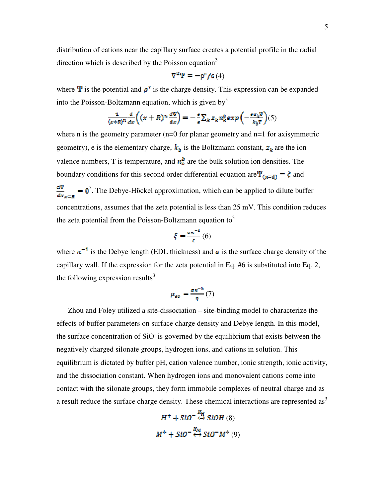distribution of cations near the capillary surface creates a potential profile in the radial direction which is described by the Poisson equation<sup>3</sup>

$$
\nabla^2 \Psi = -\rho^* / \varepsilon(4)
$$

where  $\Psi$  is the potential and  $\rho^*$  is the charge density. This expression can be expanded into the Poisson-Boltzmann equation, which is given by  $5$ 

$$
\frac{1}{(x+R)^n}\frac{d}{dx}\left((x+R)^n\frac{d\Psi}{dx}\right)=-\frac{e}{\epsilon}\sum_{k}z_k n_k^b exp\left(-\frac{\sigma z_k\Psi}{k_bT}\right)(5)
$$

where n is the geometry parameter  $(n=0$  for planar geometry and  $n=1$  for axisymmetric geometry), e is the elementary charge,  $k<sub>b</sub>$  is the Boltzmann constant,  $z<sub>k</sub>$  are the ion valence numbers, T is temperature, and  $n_k^b$  are the bulk solution ion densities. The boundary conditions for this second order differential equation are  $\Psi_{\text{f}x=\text{d}y} = \xi$  and  $<sup>5</sup>$ . The Debye-Hückel approximation, which can be applied to dilute buffer</sup> concentrations, assumes that the zeta potential is less than 25 mV. This condition reduces the zeta potential from the Poisson-Boltzmann equation to<sup>3</sup>

$$
\xi = \frac{\sigma \kappa^{-1}}{\varepsilon} \left( 6 \right)
$$

where  $\kappa^{-1}$  is the Debye length (EDL thickness) and  $\sigma$  is the surface charge density of the capillary wall. If the expression for the zeta potential in Eq. #6 is substituted into Eq. 2, the following expression results<sup>3</sup>

$$
\mu_{\sigma\sigma} = \frac{\sigma\kappa^{-1}}{\eta}(7)
$$

Zhou and Foley utilized a site-dissociation – site-binding model to characterize the effects of buffer parameters on surface charge density and Debye length. In this model, the surface concentration of SiO is governed by the equilibrium that exists between the negatively charged silonate groups, hydrogen ions, and cations in solution. This equilibrium is dictated by buffer pH, cation valence number, ionic strength, ionic activity, and the dissociation constant. When hydrogen ions and monovalent cations come into contact with the silonate groups, they form immobile complexes of neutral charge and as a result reduce the surface charge density. These chemical interactions are represented as<sup>3</sup>

$$
H^{+} + SiO^{-} \stackrel{R_H}{\leftrightarrow} SiOH(8)
$$
  

$$
M^{+} + SiO^{-} \stackrel{R_M}{\leftrightarrow} SiO^{-}M^{+}(9)
$$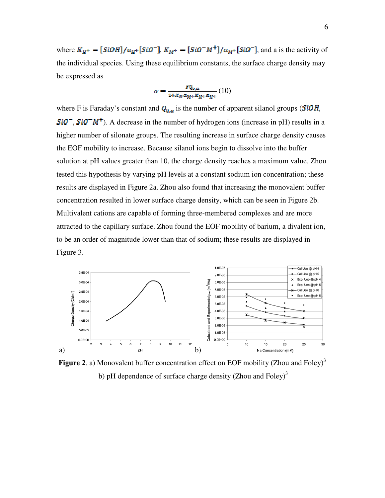where  $K_{H^+} = [SiOH]/a_{H^+}[SiO^-]$ ,  $K_{M^+} = [SiO^-M^+]/a_{M^+}[SiO^-]$ , and a is the activity of the individual species. Using these equilibrium constants, the surface charge density may be expressed as

$$
\sigma = \frac{FQ_{0,a}}{1 + K_M \alpha_M + K_{H^+} \alpha_{H^+}} (10)
$$

where F is Faraday's constant and  $Q_{0,\alpha}$  is the number of apparent silanol groups (SiOH,  $SiO^-$ ,  $SiO^-M^+$ ). A decrease in the number of hydrogen ions (increase in pH) results in a higher number of silonate groups. The resulting increase in surface charge density causes the EOF mobility to increase. Because silanol ions begin to dissolve into the buffer solution at pH values greater than 10, the charge density reaches a maximum value. Zhou tested this hypothesis by varying pH levels at a constant sodium ion concentration; these results are displayed in Figure 2a. Zhou also found that increasing the monovalent buffer concentration resulted in lower surface charge density, which can be seen in Figure 2b. Multivalent cations are capable of forming three-membered complexes and are more attracted to the capillary surface. Zhou found the EOF mobility of barium, a divalent ion, to be an order of magnitude lower than that of sodium; these results are displayed in Figure 3.



**Figure 2.** a) Monovalent buffer concentration effect on EOF mobility (Zhou and Foley)<sup>3</sup> b) pH dependence of surface charge density (Zhou and Foley)<sup>3</sup>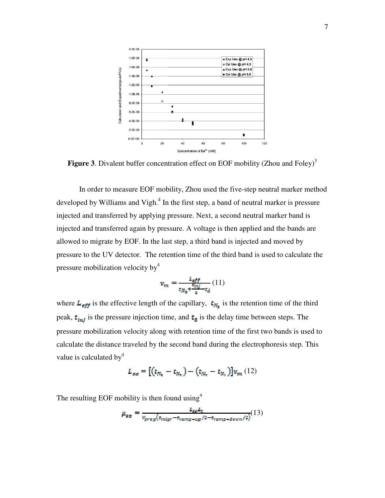

Figure 3. Divalent buffer concentration effect on EOF mobility (Zhou and Foley)<sup>3</sup>

 In order to measure EOF mobility, Zhou used the five-step neutral marker method developed by Williams and Vigh.<sup>4</sup> In the first step, a band of neutral marker is pressure injected and transferred by applying pressure. Next, a second neutral marker band is injected and transferred again by pressure. A voltage is then applied and the bands are allowed to migrate by EOF. In the last step, a third band is injected and moved by pressure to the UV detector. The retention time of the third band is used to calculate the pressure mobilization velocity  $by<sup>4</sup>$ 

$$
v_m = \frac{L_{eff}}{\frac{\mathfrak{r}_{mj}}{\mathfrak{r}_{mj} + \frac{\mathfrak{r}_{mj}}{2} - \mathfrak{r}_d}}(11)
$$

where  $L_{eff}$  is the effective length of the capillary,  $t_{N_{\rm st}}$  is the retention time of the third peak,  $t_{ini}$  is the pressure injection time, and  $t_d$  is the delay time between steps. The pressure mobilization velocity along with retention time of the first two bands is used to calculate the distance traveled by the second band during the electrophoresis step. This value is calculated by  $4$ 

$$
L_{\epsilon\sigma} = [(t_{N_{\rm x}} - t_{N_{\rm x}}) - (t_{N_{\rm x}} - t_{N_{\rm t}})]v_m(12)
$$

The resulting EOF mobility is then found using  $4$ 

$$
\mu_{\text{go}} = \frac{L_{\text{go}}L_{\text{f}}}{v_{\text{prog}}(t_{\text{migr}} - t_{\text{ramp-up}}/2 - t_{\text{ramp-down}}/2)}(13)
$$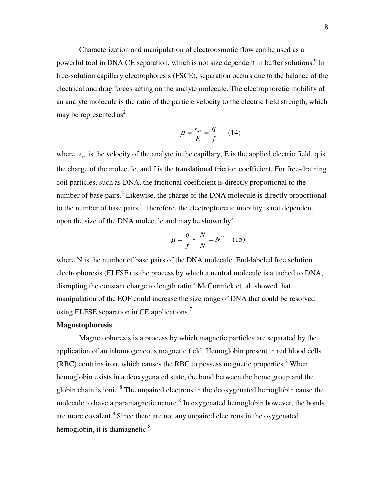Characterization and manipulation of electroosmotic flow can be used as a powerful tool in DNA CE separation, which is not size dependent in buffer solutions.<sup>6</sup> In free-solution capillary electrophoresis (FSCE), separation occurs due to the balance of the electrical and drag forces acting on the analyte molecule. The electrophoretic mobility of an analyte molecule is the ratio of the particle velocity to the electric field strength, which may be represented  $as^2$ 

$$
\mu = \frac{v_{ss}}{E} = \frac{q}{f} \qquad (14)
$$

where  $v_{ss}$  is the velocity of the analyte in the capillary, E is the applied electric field, q is the charge of the molecule, and f is the translational friction coefficient. For free-draining coil particles, such as DNA, the frictional coefficient is directly proportional to the number of base pairs.<sup>2</sup> Likewise, the charge of the DNA molecule is directly proportional to the number of base pairs.<sup>2</sup> Therefore, the electrophoretic mobility is not dependent upon the size of the DNA molecule and may be shown by<sup>2</sup>

$$
\mu = \frac{q}{f} \sim \frac{N}{N} = N^0 \quad (15)
$$

where N is the number of base pairs of the DNA molecule. End-labeled free solution electrophoresis (ELFSE) is the process by which a neutral molecule is attached to DNA, disrupting the constant charge to length ratio.<sup>7</sup> McCormick et. al. showed that manipulation of the EOF could increase the size range of DNA that could be resolved using ELFSE separation in CE applications. $^7$ 

# **Magnetophoresis**

Magnetophoresis is a process by which magnetic particles are separated by the application of an inhomogeneous magnetic field. Hemoglobin present in red blood cells  $(RBC)$  contains iron, which causes the RBC to possess magnetic properties.<sup>8</sup> When hemoglobin exists in a deoxygenated state, the bond between the heme group and the globin chain is ionic. $8$  The unpaired electrons in the deoxygenated hemoglobin cause the molecule to have a paramagnetic nature.<sup>8</sup> In oxygenated hemoglobin however, the bonds are more covalent.<sup>8</sup> Since there are not any unpaired electrons in the oxygenated hemoglobin, it is diamagnetic. $\delta$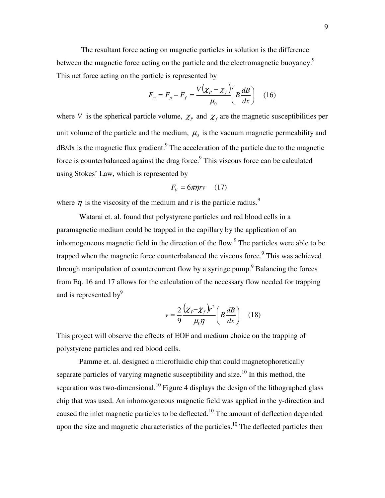The resultant force acting on magnetic particles in solution is the difference between the magnetic force acting on the particle and the electromagnetic buoyancy.<sup>9</sup> This net force acting on the particle is represented by

$$
F_m = F_p - F_f = \frac{V(\chi_p - \chi_f)}{\mu_0} \left( B \frac{dB}{dx} \right) \quad (16)
$$

where *V* is the spherical particle volume,  $\chi_p$  and  $\chi_f$  are the magnetic susceptibilities per unit volume of the particle and the medium,  $\mu_0$  is the vacuum magnetic permeability and  $dB/dx$  is the magnetic flux gradient.<sup>9</sup> The acceleration of the particle due to the magnetic force is counterbalanced against the drag force. $9$  This viscous force can be calculated using Stokes' Law, which is represented by

$$
F_V = 6\pi \eta r v \qquad (17)
$$

where  $\eta$  is the viscosity of the medium and r is the particle radius.<sup>9</sup>

Watarai et. al. found that polystyrene particles and red blood cells in a paramagnetic medium could be trapped in the capillary by the application of an inhomogeneous magnetic field in the direction of the flow.<sup>9</sup> The particles were able to be trapped when the magnetic force counterbalanced the viscous force.<sup>9</sup> This was achieved through manipulation of countercurrent flow by a syringe pump.<sup>9</sup> Balancing the forces from Eq. 16 and 17 allows for the calculation of the necessary flow needed for trapping and is represented by<sup>9</sup>

$$
v = \frac{2}{9} \frac{\left(\chi_p - \chi_f\right) r^2}{\mu_0 \eta} \left(B \frac{dB}{dx}\right) \quad (18)
$$

This project will observe the effects of EOF and medium choice on the trapping of polystyrene particles and red blood cells.

 Pamme et. al. designed a microfluidic chip that could magnetophoretically separate particles of varying magnetic susceptibility and size.<sup>10</sup> In this method, the separation was two-dimensional.<sup>10</sup> Figure 4 displays the design of the lithographed glass chip that was used. An inhomogeneous magnetic field was applied in the y-direction and caused the inlet magnetic particles to be deflected.<sup>10</sup> The amount of deflection depended upon the size and magnetic characteristics of the particles.<sup>10</sup> The deflected particles then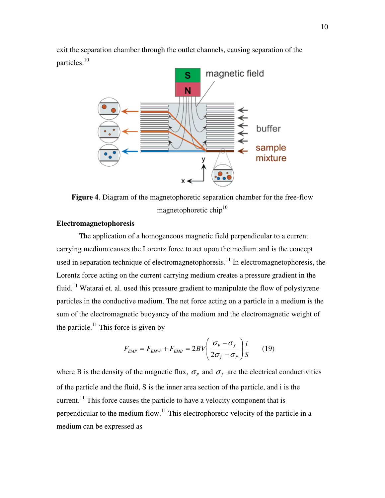exit the separation chamber through the outlet channels, causing separation of the particles.<sup>10</sup>



**Figure 4**. Diagram of the magnetophoretic separation chamber for the free-flow magnetophoretic chip<sup>10</sup>

# **Electromagnetophoresis**

 The application of a homogeneous magnetic field perpendicular to a current carrying medium causes the Lorentz force to act upon the medium and is the concept used in separation technique of electromagnetophoresis.<sup>11</sup> In electromagnetophoresis, the Lorentz force acting on the current carrying medium creates a pressure gradient in the fluid.<sup>11</sup> Watarai et. al. used this pressure gradient to manipulate the flow of polystyrene particles in the conductive medium. The net force acting on a particle in a medium is the sum of the electromagnetic buoyancy of the medium and the electromagnetic weight of the particle.<sup>11</sup> This force is given by

$$
F_{EMP} = F_{EMW} + F_{EMB} = 2BV \left( \frac{\sigma_p - \sigma_f}{2\sigma_f - \sigma_p} \right) \frac{i}{S} \qquad (19)
$$

where B is the density of the magnetic flux,  $\sigma_p$  and  $\sigma_f$  are the electrical conductivities of the particle and the fluid, S is the inner area section of the particle, and i is the current.<sup>11</sup> This force causes the particle to have a velocity component that is perpendicular to the medium flow.<sup>11</sup> This electrophoretic velocity of the particle in a medium can be expressed as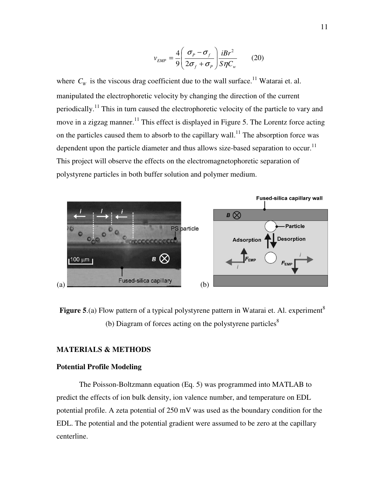$$
v_{EMP} = \frac{4}{9} \left( \frac{\sigma_p - \sigma_f}{2\sigma_f + \sigma_p} \right) \frac{iBr^2}{S\eta C_w} \qquad (20)
$$

where  $C_W$  is the viscous drag coefficient due to the wall surface.<sup>11</sup> Watarai et. al. manipulated the electrophoretic velocity by changing the direction of the current periodically.<sup>11</sup> This in turn caused the electrophoretic velocity of the particle to vary and move in a zigzag manner.<sup>11</sup> This effect is displayed in Figure 5. The Lorentz force acting on the particles caused them to absorb to the capillary wall.<sup>11</sup> The absorption force was dependent upon the particle diameter and thus allows size-based separation to occur.<sup>11</sup> This project will observe the effects on the electromagnetophoretic separation of polystyrene particles in both buffer solution and polymer medium.



**Figure 5**.(a) Flow pattern of a typical polystyrene pattern in Watarai et. Al. experiment<sup>8</sup> (b) Diagram of forces acting on the polystyrene particles<sup>8</sup>

# **MATERIALS & METHODS**

# **Potential Profile Modeling**

The Poisson-Boltzmann equation (Eq. 5) was programmed into MATLAB to predict the effects of ion bulk density, ion valence number, and temperature on EDL potential profile. A zeta potential of 250 mV was used as the boundary condition for the EDL. The potential and the potential gradient were assumed to be zero at the capillary centerline.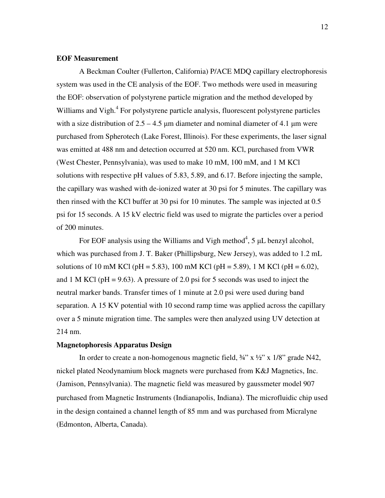# **EOF Measurement**

 A Beckman Coulter (Fullerton, California) P/ACE MDQ capillary electrophoresis system was used in the CE analysis of the EOF. Two methods were used in measuring the EOF: observation of polystyrene particle migration and the method developed by Williams and Vigh.<sup>4</sup> For polystyrene particle analysis, fluorescent polystyrene particles with a size distribution of  $2.5 - 4.5$  µm diameter and nominal diameter of 4.1 µm were purchased from Spherotech (Lake Forest, Illinois). For these experiments, the laser signal was emitted at 488 nm and detection occurred at 520 nm. KCl, purchased from VWR (West Chester, Pennsylvania), was used to make 10 mM, 100 mM, and 1 M KCl solutions with respective pH values of 5.83, 5.89, and 6.17. Before injecting the sample, the capillary was washed with de-ionized water at 30 psi for 5 minutes. The capillary was then rinsed with the KCl buffer at 30 psi for 10 minutes. The sample was injected at 0.5 psi for 15 seconds. A 15 kV electric field was used to migrate the particles over a period of 200 minutes.

For EOF analysis using the Williams and Vigh method<sup>4</sup>, 5  $\mu$ L benzyl alcohol, which was purchased from J. T. Baker (Phillipsburg, New Jersey), was added to 1.2 mL solutions of 10 mM KCl (pH = 5.83), 100 mM KCl (pH = 5.89), 1 M KCl (pH = 6.02), and 1 M KCl ( $pH = 9.63$ ). A pressure of 2.0 psi for 5 seconds was used to inject the neutral marker bands. Transfer times of 1 minute at 2.0 psi were used during band separation. A 15 KV potential with 10 second ramp time was applied across the capillary over a 5 minute migration time. The samples were then analyzed using UV detection at 214 nm.

#### **Magnetophoresis Apparatus Design**

In order to create a non-homogenous magnetic field,  $\frac{3}{4}$  x  $\frac{1}{2}$  x 1/8" grade N42, nickel plated Neodynamium block magnets were purchased from K&J Magnetics, Inc. (Jamison, Pennsylvania). The magnetic field was measured by gaussmeter model 907 purchased from Magnetic Instruments (Indianapolis, Indiana). The microfluidic chip used in the design contained a channel length of 85 mm and was purchased from Micralyne (Edmonton, Alberta, Canada).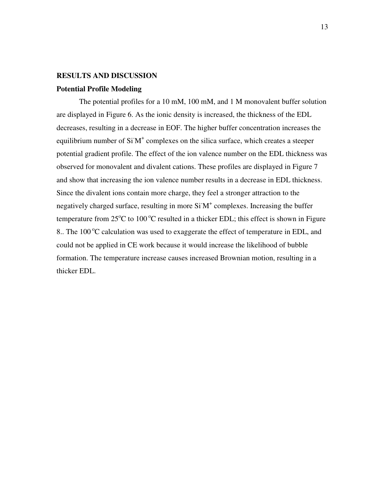# **RESULTS AND DISCUSSION**

## **Potential Profile Modeling**

The potential profiles for a 10 mM, 100 mM, and 1 M monovalent buffer solution are displayed in Figure 6. As the ionic density is increased, the thickness of the EDL decreases, resulting in a decrease in EOF. The higher buffer concentration increases the equilibrium number of SiM<sup>+</sup> complexes on the silica surface, which creates a steeper potential gradient profile. The effect of the ion valence number on the EDL thickness was observed for monovalent and divalent cations. These profiles are displayed in Figure 7 and show that increasing the ion valence number results in a decrease in EDL thickness. Since the divalent ions contain more charge, they feel a stronger attraction to the negatively charged surface, resulting in more  $SiM<sup>+</sup>$  complexes. Increasing the buffer temperature from  $25^{\circ}$ C to 100  $^{\circ}$ C resulted in a thicker EDL; this effect is shown in Figure 8.. The 100 $\degree$ C calculation was used to exaggerate the effect of temperature in EDL, and could not be applied in CE work because it would increase the likelihood of bubble formation. The temperature increase causes increased Brownian motion, resulting in a thicker EDL.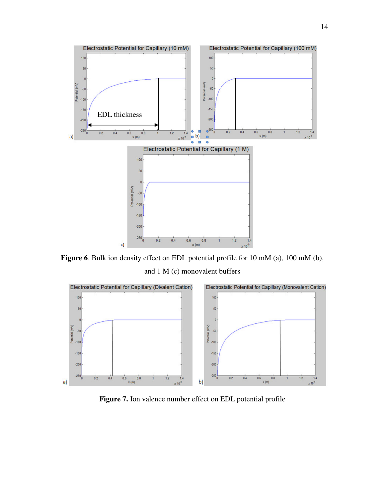

**Figure 6**. Bulk ion density effect on EDL potential profile for 10 mM (a), 100 mM (b), and 1 M (c) monovalent buffers



**Figure 7.** Ion valence number effect on EDL potential profile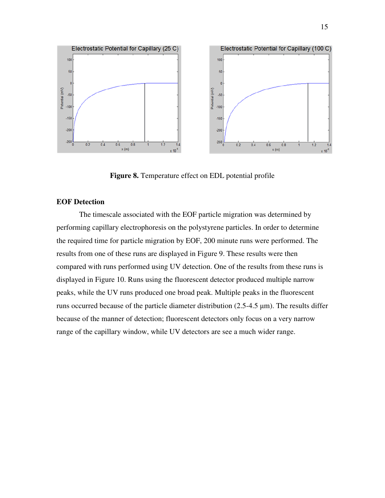

**Figure 8.** Temperature effect on EDL potential profile

# **EOF Detection**

 The timescale associated with the EOF particle migration was determined by performing capillary electrophoresis on the polystyrene particles. In order to determine the required time for particle migration by EOF, 200 minute runs were performed. The results from one of these runs are displayed in Figure 9. These results were then compared with runs performed using UV detection. One of the results from these runs is displayed in Figure 10. Runs using the fluorescent detector produced multiple narrow peaks, while the UV runs produced one broad peak. Multiple peaks in the fluorescent runs occurred because of the particle diameter distribution (2.5-4.5 µm). The results differ because of the manner of detection; fluorescent detectors only focus on a very narrow range of the capillary window, while UV detectors are see a much wider range.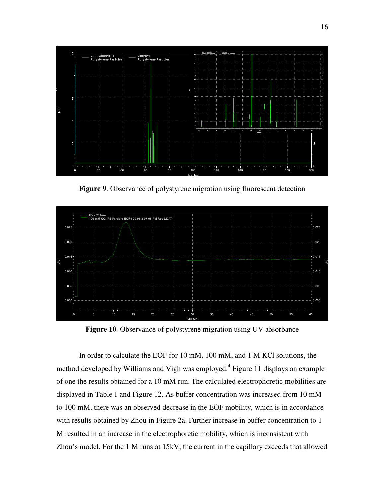

**Figure 9**. Observance of polystyrene migration using fluorescent detection



**Figure 10**. Observance of polystyrene migration using UV absorbance

 In order to calculate the EOF for 10 mM, 100 mM, and 1 M KCl solutions, the method developed by Williams and Vigh was employed.<sup>4</sup> Figure 11 displays an example of one the results obtained for a 10 mM run. The calculated electrophoretic mobilities are displayed in Table 1 and Figure 12. As buffer concentration was increased from 10 mM to 100 mM, there was an observed decrease in the EOF mobility, which is in accordance with results obtained by Zhou in Figure 2a. Further increase in buffer concentration to 1 M resulted in an increase in the electrophoretic mobility, which is inconsistent with Zhou's model. For the 1 M runs at 15kV, the current in the capillary exceeds that allowed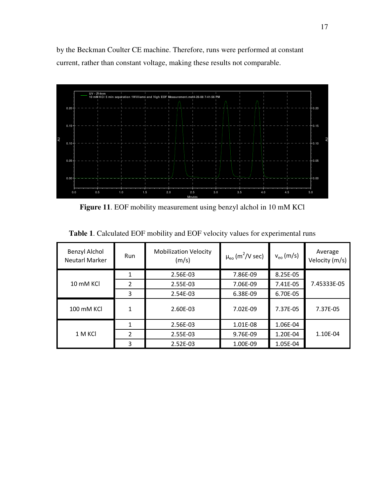by the Beckman Coulter CE machine. Therefore, runs were performed at constant current, rather than constant voltage, making these results not comparable.



**Figure 11**. EOF mobility measurement using benzyl alchol in 10 mM KCl

| Benzyl Alchol<br>Neutarl Marker | Run            | <b>Mobilization Velocity</b><br>(m/s) | $\mu_{\rm eo}$ (m <sup>2</sup> /V sec) | $v_{\rm eo}$ (m/s) | Average<br>Velocity (m/s) |
|---------------------------------|----------------|---------------------------------------|----------------------------------------|--------------------|---------------------------|
| 10 mM KCI                       | 1              | 2.56E-03                              | 7.86E-09                               | 8.25E-05           | 7.45333E-05               |
|                                 | $\overline{2}$ | 2.55E-03                              | 7.06E-09                               | 7.41E-05           |                           |
|                                 | 3              | 2.54E-03                              | 6.38E-09                               | 6.70E-05           |                           |
| 100 mM KCI                      | 1              | 2.60E-03                              | 7.02E-09                               | 7.37E-05           | 7.37E-05                  |
| 1 M KCI                         |                | 2.56E-03                              | 1.01E-08                               | 1.06E-04           |                           |
|                                 | $\overline{2}$ | 2.55E-03                              | 9.76E-09                               | 1.20E-04           | 1.10E-04                  |
|                                 | 3              | 2.52E-03                              | 1.00E-09                               | 1.05E-04           |                           |

**Table 1**. Calculated EOF mobility and EOF velocity values for experimental runs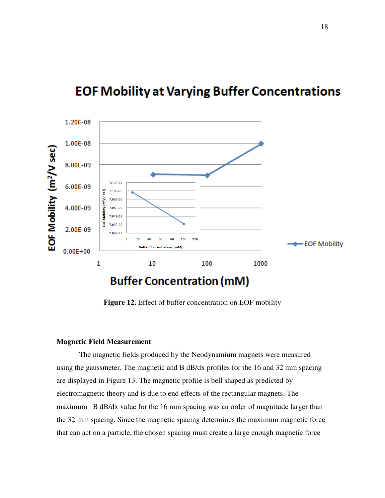# **EOF Mobility at Varying Buffer Concentrations**



**Figure 12.** Effect of buffer concentration on EOF mobility

# **Magnetic Field Measurement**

The magnetic fields produced by the Neodynamium magnets were measured using the gaussmeter. The magnetic and B dB/dx profiles for the 16 and 32 mm spacing are displayed in Figure 13. The magnetic profile is bell shaped as predicted by electromagnetic theory and is due to end effects of the rectangular magnets. The maximum B dB/dx value for the 16 mm spacing was an order of magnitude larger than the 32 mm spacing. Since the magnetic spacing determines the maximum magnetic force that can act on a particle, the chosen spacing must create a large enough magnetic force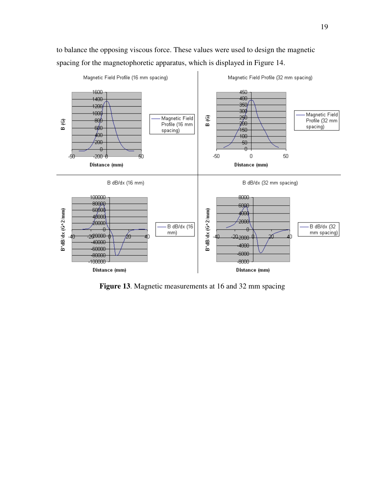to balance the opposing viscous force. These values were used to design the magnetic spacing for the magnetophoretic apparatus, which is displayed in Figure 14.



**Figure 13**. Magnetic measurements at 16 and 32 mm spacing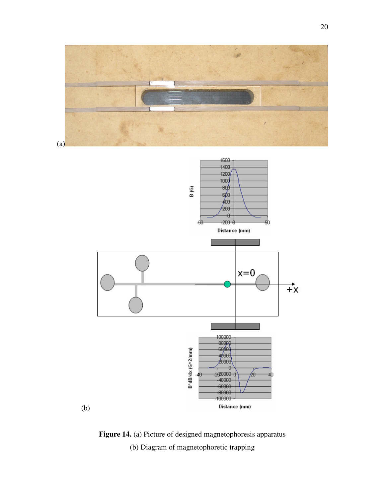

**Figure 14.** (a) Picture of designed magnetophoresis apparatus (b) Diagram of magnetophoretic trapping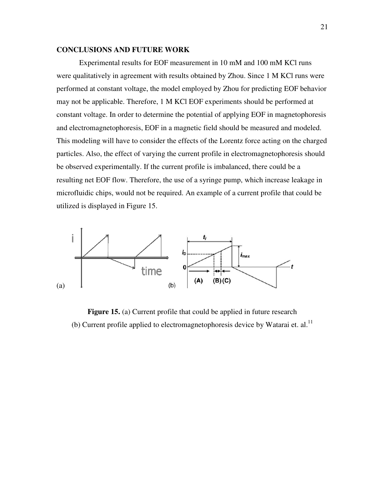# **CONCLUSIONS AND FUTURE WORK**

Experimental results for EOF measurement in 10 mM and 100 mM KCl runs were qualitatively in agreement with results obtained by Zhou. Since 1 M KCl runs were performed at constant voltage, the model employed by Zhou for predicting EOF behavior may not be applicable. Therefore, 1 M KCl EOF experiments should be performed at constant voltage. In order to determine the potential of applying EOF in magnetophoresis and electromagnetophoresis, EOF in a magnetic field should be measured and modeled. This modeling will have to consider the effects of the Lorentz force acting on the charged particles. Also, the effect of varying the current profile in electromagnetophoresis should be observed experimentally. If the current profile is imbalanced, there could be a resulting net EOF flow. Therefore, the use of a syringe pump, which increase leakage in microfluidic chips, would not be required. An example of a current profile that could be utilized is displayed in Figure 15.



**Figure 15.** (a) Current profile that could be applied in future research (b) Current profile applied to electromagnetophoresis device by Watarai et.  $al$ .<sup>11</sup>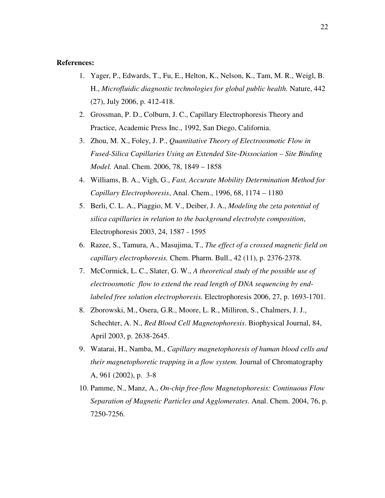# **References:**

- 1. Yager, P., Edwards, T., Fu, E., Helton, K., Nelson, K., Tam, M. R., Weigl, B. H., *Microfluidic diagnostic technologies for global public health.* Nature, 442 (27), July 2006, p. 412-418.
- 2. Grossman, P. D., Colburn, J. C., Capillary Electrophoresis Theory and Practice, Academic Press Inc., 1992, San Diego, California.
- 3. Zhou, M. X., Foley, J. P., *Quantitative Theory of Electroosmotic Flow in Fused-Silica Capillaries Using an Extended Site-Dissociation – Site Binding Model.* Anal. Chem. 2006, 78, 1849 – 1858
- 4. Williams, B. A., Vigh, G., *Fast, Accurate Mobility Determination Method for Capillary Electrophoresis*, Anal. Chem., 1996, 68, 1174 – 1180
- 5. Berli, C. L. A., Piaggio, M. V., Deiber, J. A., *Modeling the zeta potential of silica capillaries in relation to the background electrolyte composition*, Electrophoresis 2003, 24, 1587 - 1595
- 6. Razee, S., Tamura, A., Masujima, T., *The effect of a crossed magnetic field on capillary electrophoresis.* Chem. Pharm. Bull., 42 (11), p. 2376-2378.
- 7. McCormick, L. C., Slater, G. W., *A theoretical study of the possible use of electroosmotic flow to extend the read length of DNA sequencing by endlabeled free solution electrophoresis.* Electrophoresis 2006, 27, p. 1693-1701.
- 8. Zborowski, M., Osera, G.R., Moore, L. R., Milliron, S., Chalmers, J. J., Schechter, A. N., *Red Blood Cell Magnetophoresis*. Biophysical Journal, 84, April 2003, p. 2638-2645.
- 9. Watarai, H., Namba, M., *Capillary magnetophoresis of human blood cells and their magnetophoretic trapping in a flow system.* Journal of Chromatography A, 961 (2002), p. 3-8
- 10. Pamme, N., Manz, A., *On-chip free-flow Magnetophoresis: Continuous Flow Separation of Magnetic Particles and Agglomerates.* Anal. Chem. 2004, 76, p. 7250-7256.